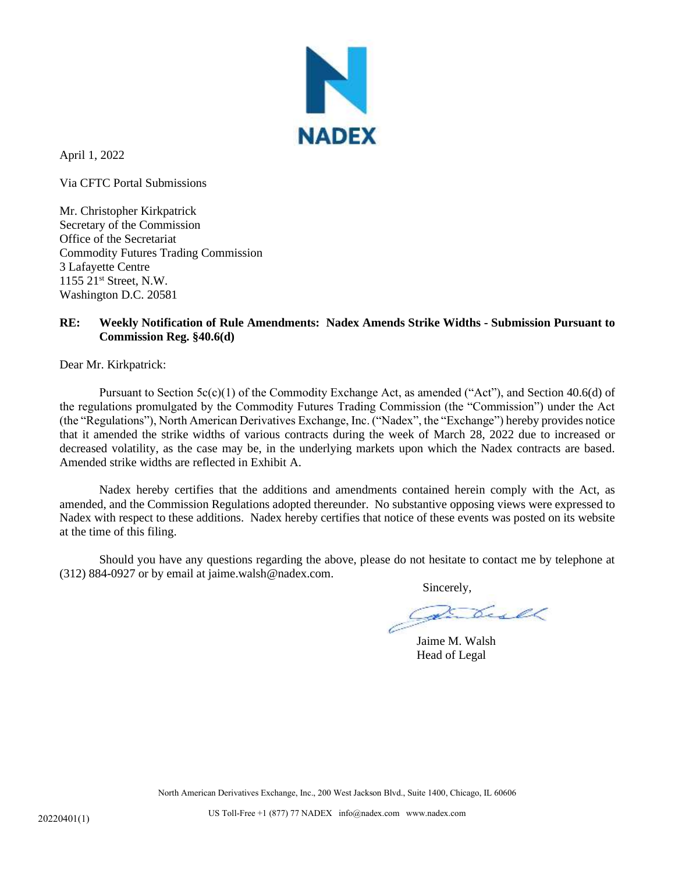

April 1, 2022

Via CFTC Portal Submissions

Mr. Christopher Kirkpatrick Secretary of the Commission Office of the Secretariat Commodity Futures Trading Commission 3 Lafayette Centre 1155 21st Street, N.W. Washington D.C. 20581

## **RE: Weekly Notification of Rule Amendments: Nadex Amends Strike Widths - Submission Pursuant to Commission Reg. §40.6(d)**

Dear Mr. Kirkpatrick:

Pursuant to Section  $5c(c)(1)$  of the Commodity Exchange Act, as amended ("Act"), and Section 40.6(d) of the regulations promulgated by the Commodity Futures Trading Commission (the "Commission") under the Act (the "Regulations"), North American Derivatives Exchange, Inc. ("Nadex", the "Exchange") hereby provides notice that it amended the strike widths of various contracts during the week of March 28, 2022 due to increased or decreased volatility, as the case may be, in the underlying markets upon which the Nadex contracts are based. Amended strike widths are reflected in Exhibit A.

Nadex hereby certifies that the additions and amendments contained herein comply with the Act, as amended, and the Commission Regulations adopted thereunder. No substantive opposing views were expressed to Nadex with respect to these additions. Nadex hereby certifies that notice of these events was posted on its website at the time of this filing.

Should you have any questions regarding the above, please do not hesitate to contact me by telephone at (312) 884-0927 or by email at jaime.walsh@nadex.com.

Sincerely,

Jaime M. Walsh Head of Legal